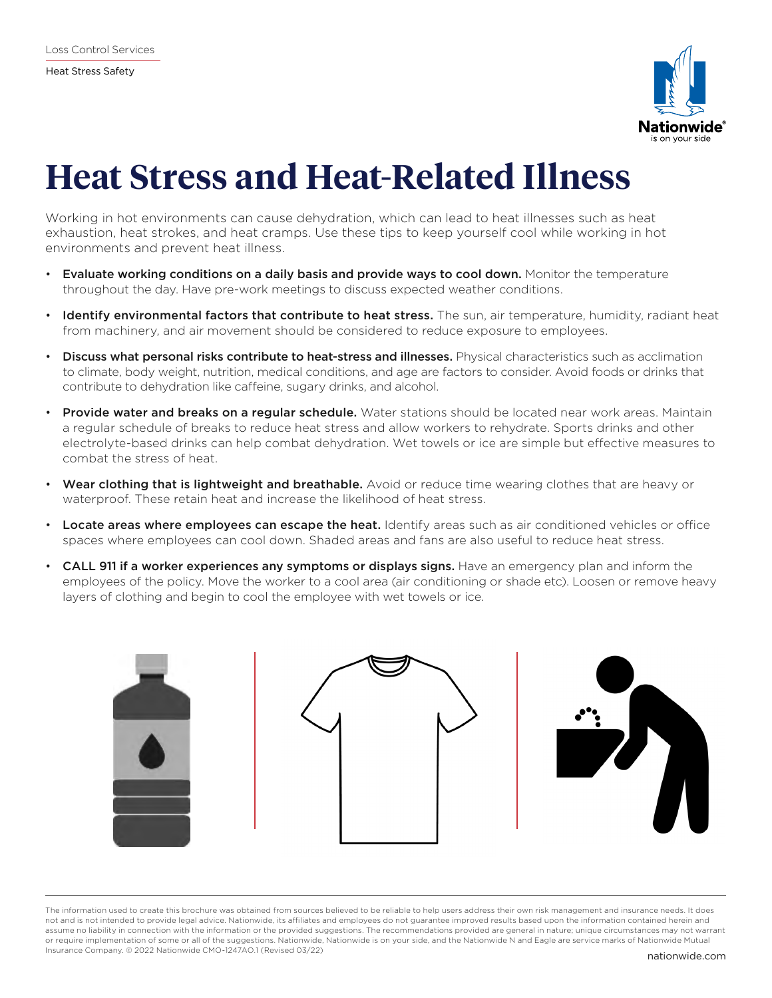

## **Heat Stress and Heat-Related Illness**

Working in hot environments can cause dehydration, which can lead to heat illnesses such as heat exhaustion, heat strokes, and heat cramps. Use these tips to keep yourself cool while working in hot environments and prevent heat illness.

- Evaluate working conditions on a daily basis and provide ways to cool down. Monitor the temperature throughout the day. Have pre-work meetings to discuss expected weather conditions.
- Identify environmental factors that contribute to heat stress. The sun, air temperature, humidity, radiant heat from machinery, and air movement should be considered to reduce exposure to employees.
- Discuss what personal risks contribute to heat-stress and illnesses. Physical characteristics such as acclimation to climate, body weight, nutrition, medical conditions, and age are factors to consider. Avoid foods or drinks that contribute to dehydration like caffeine, sugary drinks, and alcohol.
- **Provide water and breaks on a regular schedule.** Water stations should be located near work areas. Maintain a regular schedule of breaks to reduce heat stress and allow workers to rehydrate. Sports drinks and other electrolyte-based drinks can help combat dehydration. Wet towels or ice are simple but effective measures to combat the stress of heat.
- Wear clothing that is lightweight and breathable. Avoid or reduce time wearing clothes that are heavy or waterproof. These retain heat and increase the likelihood of heat stress.
- Locate areas where employees can escape the heat. Identify areas such as air conditioned vehicles or office spaces where employees can cool down. Shaded areas and fans are also useful to reduce heat stress.
- CALL 911 if a worker experiences any symptoms or displays signs. Have an emergency plan and inform the employees of the policy. Move the worker to a cool area (air conditioning or shade etc). Loosen or remove heavy layers of clothing and begin to cool the employee with wet towels or ice.



The information used to create this brochure was obtained from sources believed to be reliable to help users address their own risk management and insurance needs. It does not and is not intended to provide legal advice. Nationwide, its affiliates and employees do not guarantee improved results based upon the information contained herein and assume no liability in connection with the information or the provided suggestions. The recommendations provided are general in nature; unique circumstances may not warrant or require implementation of some or all of the suggestions. Nationwide, Nationwide is on your side, and the Nationwide N and Eagle are service marks of Nationwide Mutual Insurance Company. © 2022 Nationwide CMO-1247AO.1 (Revised 03/22) nationwide.com